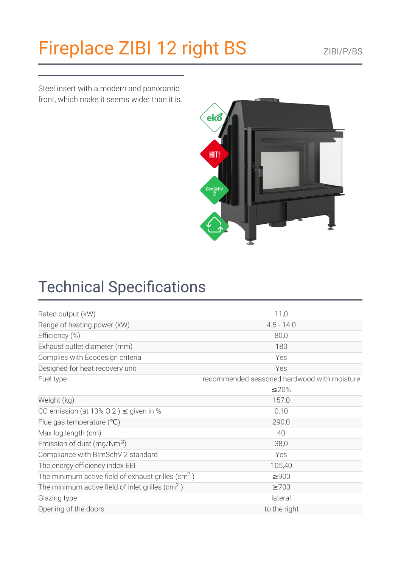# [Fireplace](https://kratki.com/sklep/en/produkt/1498/fireplace-zibi-12-right-bs) ZIBI 12 right BS ZIBI/P/BS

Steel insert with a modern and panoramic front, which make it seems wider than it is.



### **Technical Specifications**

| Rated output (kW)                                              | 11,0                                        |
|----------------------------------------------------------------|---------------------------------------------|
| Range of heating power (kW)                                    | $4.5 - 14.0$                                |
| Efficiency (%)                                                 | 80,0                                        |
| Exhaust outlet diameter (mm)                                   | 180                                         |
| Complies with Ecodesign criteria                               | Yes                                         |
| Designed for heat recovery unit                                | Yes                                         |
| Fuel type                                                      | recommended seasoned hardwood with moisture |
|                                                                | ≤20%                                        |
| Weight (kg)                                                    | 157,0                                       |
| CO emission (at 13% O 2) $\leq$ given in %                     | 0,10                                        |
| Flue gas temperature $(°C)$                                    | 290,0                                       |
| Max log length (cm)                                            | 40                                          |
| Emission of dust (mg/Nm $3$ )                                  | 38,0                                        |
| Compliance with BImSchV 2 standard                             | Yes                                         |
| The energy efficiency index EEI                                | 105,40                                      |
| The minimum active field of exhaust grilles (cm <sup>2</sup> ) | $\geq 900$                                  |
| The minimum active field of inlet grilles ( $\text{cm}^2$ )    | $\geq 700$                                  |
| Glazing type                                                   | lateral                                     |
| Opening of the doors                                           | to the right                                |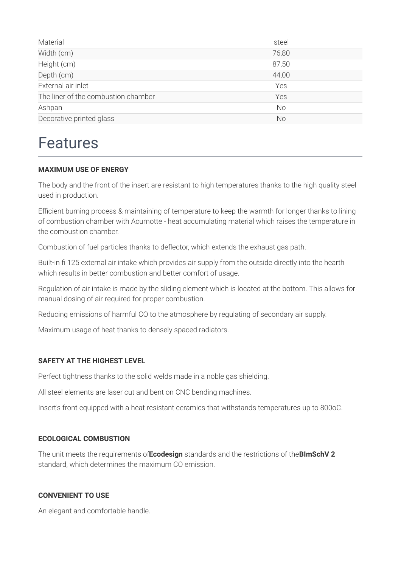| Material                            | steel     |
|-------------------------------------|-----------|
| Width (cm)                          | 76,80     |
| Height (cm)                         | 87,50     |
| Depth (cm)                          | 44,00     |
| External air inlet                  | Yes       |
| The liner of the combustion chamber | Yes       |
| Ashpan                              | <b>No</b> |
| Decorative printed glass            | No        |

### Features

#### **MAXIMUM USE OF ENERGY**

The body and the front of the insert are resistant to high temperatures thanks to the high quality steel used in production.

Efficient burning process & maintaining of temperature to keep the warmth for longer thanks to lining of combustion chamber with Acumotte - heat accumulating material which raises the temperature in the combustion chamber.

Combustion of fuel particles thanks to deflector, which extends the exhaust gas path.

Built-in fi 125 external air intake which provides air supply from the outside directly into the hearth which results in better combustion and better comfort of usage.

Regulation of air intake is made by the sliding element which is located at the bottom. This allows for manual dosing of air required for proper combustion.

Reducing emissions of harmful CO to the atmosphere by regulating of secondary air supply.

Maximum usage of heat thanks to densely spaced radiators.

#### **SAFETY AT THE HIGHEST LEVEL**

Perfect tightness thanks to the solid welds made in a noble gas shielding.

All steel elements are laser cut and bent on CNC bending machines.

Insert's front equipped with a heat resistant ceramics that withstands temperatures up to 800oC.

#### **ECOLOGICAL COMBUSTION**

The unit meets the requirements of**Ecodesign** standards and the restrictions of the**BImSchV 2** standard, which determines the maximum CO emission.

#### **CONVENIENT TO USE**

An elegant and comfortable handle.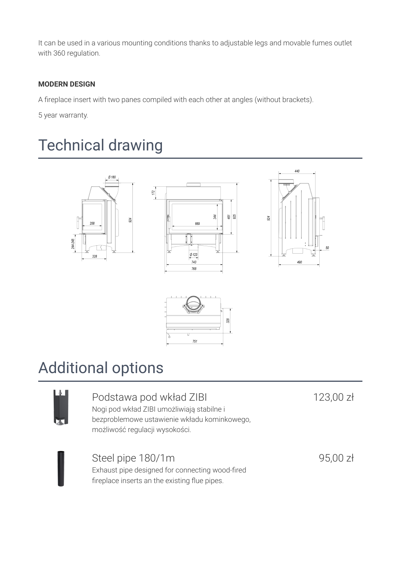It can be used in a various mounting conditions thanks to adjustable legs and movable fumes outlet with 360 regulation.

#### **MODERN DESIGN**

A fireplace insert with two panes compiled with each other at angles (without brackets).

 $172$ 

5 year warranty.

### Technical drawing









### Additional options



### Podstawa pod wkład ZIBI

Nogi pod wkład ZIBI umożliwiają stabilne i bezproblemowe ustawienie wkładu kominkowego, możliwość regulacji wysokości.

123,00 zł

Steel pipe 180/1m Exhaust pipe designed for connecting wood-fired fireplace inserts an the existing flue pipes.

95,00 zł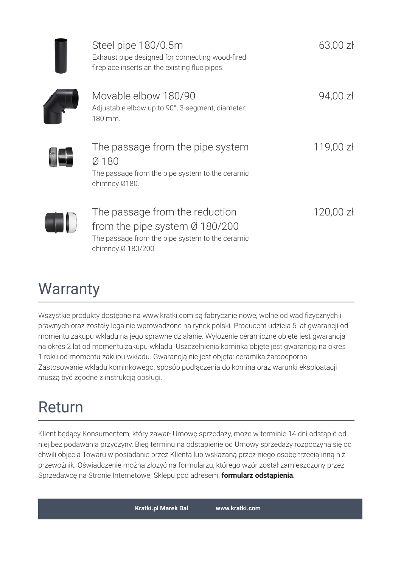| Steel pipe 180/0.5m<br>Exhaust pipe designed for connecting wood-fired<br>fireplace inserts an the existing flue pipes.                               | $63,00$ zł  |
|-------------------------------------------------------------------------------------------------------------------------------------------------------|-------------|
| Movable elbow 180/90<br>Adjustable elbow up to 90°, 3-segment, diameter:<br>180 mm.                                                                   | 94,00 zł    |
| The passage from the pipe system<br>Ø 180<br>The passage from the pipe system to the ceramic<br>chimney Ø180.                                         | 119,00 zł   |
| The passage from the reduction<br>from the pipe system $\varnothing$ 180/200<br>The passage from the pipe system to the ceramic<br>chimney Ø 180/200. | $120,00$ zł |

### **Warranty**

Wszystkie produkty dostępne na www.kratki.com są fabrycznie nowe, wolne od wad fizycznych i prawnych oraz zostały legalnie wprowadzone na rynek polski. Producent udziela 5 lat gwarancji od momentu zakupu wkładu na jego sprawne działanie. Wyłożenie ceramiczne objęte jest gwarancją na okres 2 lat od momentu zakupu wkładu. Uszczelnienia kominka objęte jest gwarancją na okres 1 roku od momentu zakupu wkładu. Gwarancją nie jest objęta: ceramika żaroodporna. Zastosowanie wkładu kominkowego, sposób podłączenia do komina oraz warunki eksploatacji muszą być zgodne z instrukcją obsługi.

## Return

Klient będący Konsumentem, który zawarł Umowę sprzedaży, może w terminie 14 dni odstąpić od niej bez podawania przyczyny. Bieg terminu na odstąpienie od Umowy sprzedaży rozpoczyna się od chwili objęcia Towaru w posiadanie przez Klienta lub wskazaną przez niego osobę trzecią inną niż przewoźnik. Oświadczenie można złożyć na formularzu, którego wzór został zamieszczony przez Sprzedawcę na Stronie Internetowej Sklepu pod adresem: **formularz [odstąpienia](http://kratki.com/sklep/pl/17/formularz-odstapienia)**.

**Kratki.pl Marek Bal [www.kratki.com](https://kratki.com)**